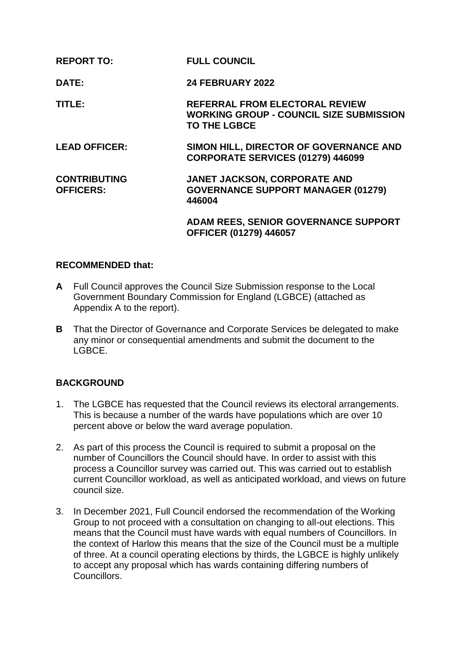| <b>REPORT TO:</b>                       | <b>FULL COUNCIL</b>                                                                                            |
|-----------------------------------------|----------------------------------------------------------------------------------------------------------------|
| DATE:                                   | <b>24 FEBRUARY 2022</b>                                                                                        |
| TITLE:                                  | <b>REFERRAL FROM ELECTORAL REVIEW</b><br><b>WORKING GROUP - COUNCIL SIZE SUBMISSION</b><br><b>TO THE LGBCE</b> |
| <b>LEAD OFFICER:</b>                    | SIMON HILL, DIRECTOR OF GOVERNANCE AND<br>CORPORATE SERVICES (01279) 446099                                    |
| <b>CONTRIBUTING</b><br><b>OFFICERS:</b> | <b>JANET JACKSON, CORPORATE AND</b><br><b>GOVERNANCE SUPPORT MANAGER (01279)</b><br>446004                     |
|                                         | <b>ADAM REES, SENIOR GOVERNANCE SUPPORT</b><br><b>OFFICER (01279) 446057</b>                                   |

### **RECOMMENDED that:**

- **A** Full Council approves the Council Size Submission response to the Local Government Boundary Commission for England (LGBCE) (attached as Appendix A to the report).
- **B** That the Director of Governance and Corporate Services be delegated to make any minor or consequential amendments and submit the document to the LGBCE.

## **BACKGROUND**

- 1. The LGBCE has requested that the Council reviews its electoral arrangements. This is because a number of the wards have populations which are over 10 percent above or below the ward average population.
- 2. As part of this process the Council is required to submit a proposal on the number of Councillors the Council should have. In order to assist with this process a Councillor survey was carried out. This was carried out to establish current Councillor workload, as well as anticipated workload, and views on future council size.
- 3. In December 2021, Full Council endorsed the recommendation of the Working Group to not proceed with a consultation on changing to all-out elections. This means that the Council must have wards with equal numbers of Councillors. In the context of Harlow this means that the size of the Council must be a multiple of three. At a council operating elections by thirds, the LGBCE is highly unlikely to accept any proposal which has wards containing differing numbers of **Councillors**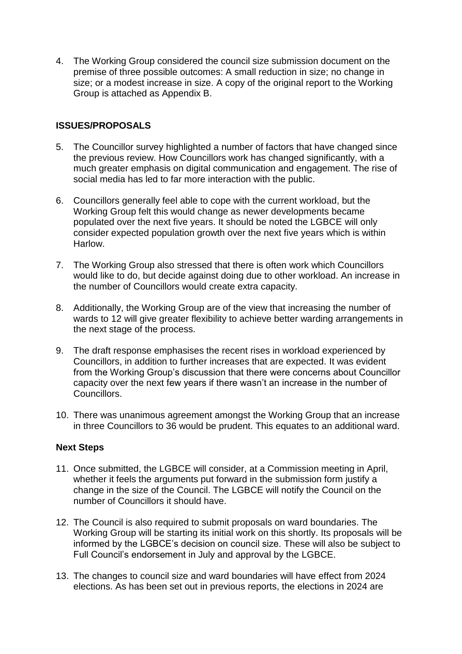4. The Working Group considered the council size submission document on the premise of three possible outcomes: A small reduction in size; no change in size; or a modest increase in size. A copy of the original report to the Working Group is attached as Appendix B.

## **ISSUES/PROPOSALS**

- 5. The Councillor survey highlighted a number of factors that have changed since the previous review. How Councillors work has changed significantly, with a much greater emphasis on digital communication and engagement. The rise of social media has led to far more interaction with the public.
- 6. Councillors generally feel able to cope with the current workload, but the Working Group felt this would change as newer developments became populated over the next five years. It should be noted the LGBCE will only consider expected population growth over the next five years which is within Harlow.
- 7. The Working Group also stressed that there is often work which Councillors would like to do, but decide against doing due to other workload. An increase in the number of Councillors would create extra capacity.
- 8. Additionally, the Working Group are of the view that increasing the number of wards to 12 will give greater flexibility to achieve better warding arrangements in the next stage of the process.
- 9. The draft response emphasises the recent rises in workload experienced by Councillors, in addition to further increases that are expected. It was evident from the Working Group's discussion that there were concerns about Councillor capacity over the next few years if there wasn't an increase in the number of Councillors.
- 10. There was unanimous agreement amongst the Working Group that an increase in three Councillors to 36 would be prudent. This equates to an additional ward.

## **Next Steps**

- 11. Once submitted, the LGBCE will consider, at a Commission meeting in April, whether it feels the arguments put forward in the submission form justify a change in the size of the Council. The LGBCE will notify the Council on the number of Councillors it should have.
- 12. The Council is also required to submit proposals on ward boundaries. The Working Group will be starting its initial work on this shortly. Its proposals will be informed by the LGBCE's decision on council size. These will also be subject to Full Council's endorsement in July and approval by the LGBCE.
- 13. The changes to council size and ward boundaries will have effect from 2024 elections. As has been set out in previous reports, the elections in 2024 are